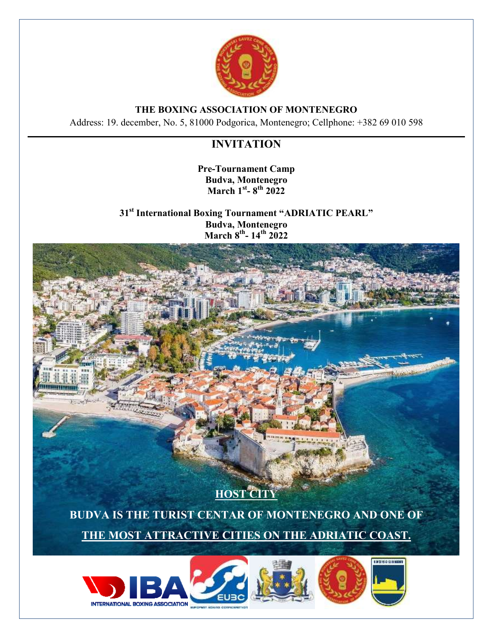

## **THE BOXING ASSOCIATION OF MONTENEGRO**

Address: 19. december, No. 5, 81000 Podgorica, Montenegro; Cellphone: +382 69 010 598

## **INVITATION**

**Pre-Tournament Camp Budva, Montenegro March 1st - 8 th 2022**

**31st International Boxing Tournament "ADRIATIC PEARL" Budva, Montenegro March 8th - 14 th 2022**



**INTERNATIONAL BOXING ASSOCIATION**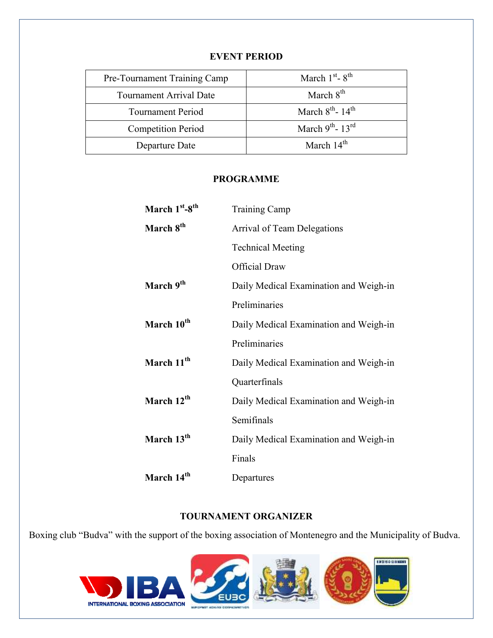| Pre-Tournament Training Camp   | March $1st$ - $8th$               |
|--------------------------------|-----------------------------------|
| <b>Tournament Arrival Date</b> | March $8th$                       |
| <b>Tournament Period</b>       | March $8^{th}$ - 14 <sup>th</sup> |
| <b>Competition Period</b>      | March $9^{th}$ - 13 <sup>rd</sup> |
| Departure Date                 | March $14th$                      |

#### **EVENT PERIOD**

#### **PROGRAMME**

| March 1 <sup>st</sup> -8 <sup>th</sup> | <b>Training Camp</b>                   |
|----------------------------------------|----------------------------------------|
| March 8 <sup>th</sup>                  | Arrival of Team Delegations            |
|                                        | <b>Technical Meeting</b>               |
|                                        | <b>Official Draw</b>                   |
| March 9 <sup>th</sup>                  | Daily Medical Examination and Weigh-in |
|                                        | Preliminaries                          |
| March 10 <sup>th</sup>                 | Daily Medical Examination and Weigh-in |
|                                        | Preliminaries                          |
| March 11 <sup>th</sup>                 | Daily Medical Examination and Weigh-in |
|                                        | Quarterfinals                          |
| March 12 <sup>th</sup>                 | Daily Medical Examination and Weigh-in |
|                                        | Semifinals                             |
| March 13 <sup>th</sup>                 | Daily Medical Examination and Weigh-in |
|                                        | Finals                                 |
| March 14 <sup>th</sup>                 | Departures                             |

## **TOURNAMENT ORGANIZER**

Boxing club "Budva" with the support of the boxing association of Montenegro and the Municipality of Budva.

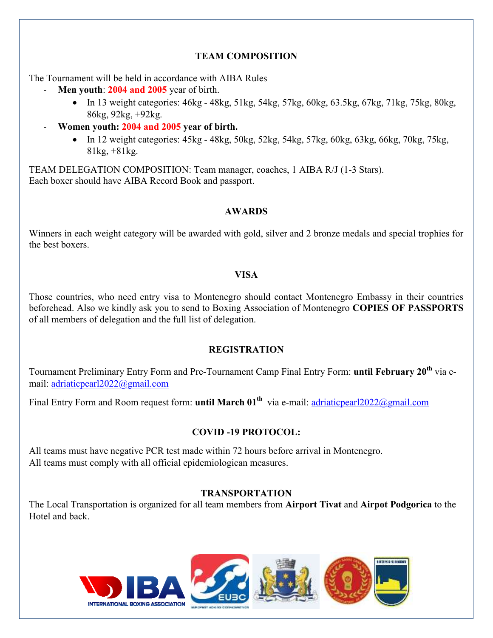## **TEAM COMPOSITION**

The Tournament will be held in accordance with AIBA Rules

- Men youth: 2004 and 2005 year of birth.
	- $\bullet$  In 13 weight categories: 46kg 48kg, 51kg, 54kg, 57kg, 60kg, 63.5kg, 67kg, 71kg, 75kg, 80kg, 86kg, 92kg, +92kg.
- **Women youth: 2004 and 2005 year of birth.**
	- $\bullet$  In 12 weight categories:  $45kg 48kg$ ,  $50kg$ ,  $52kg$ ,  $54kg$ ,  $57kg$ ,  $60kg$ ,  $63kg$ ,  $66kg$ ,  $70kg$ ,  $75kg$ , 81kg, +81kg.

TEAM DELEGATION COMPOSITION: Team manager, coaches, 1 AIBA R/J (1-3 Stars). Each boxer should have AIBA Record Book and passport.

## **AWARDS**

Winners in each weight category will be awarded with gold, silver and 2 bronze medals and special trophies for the best boxers.

## **VISA**

Those countries, who need entry visa to Montenegro should contact Montenegro Embassy in their countries beforehead. Also we kindly ask you to send to Boxing Association of Montenegro **COPIES OF PASSPORTS**  of all members of delegation and the full list of delegation.

## **REGISTRATION**

Tournament Preliminary Entry Form and Pre-Tournament Camp Final Entry Form: **until February 20th** via email: [adriaticpearl2022@gmail.com](mailto:adriaticpearl2022@gmail.com)

Final Entry Form and Room request form: **until March 01th** via e-mail: [adriaticpearl2022@gmail.com](mailto:g.marija@t-com.me)

## **COVID -19 PROTOCOL:**

All teams must have negative PCR test made within 72 hours before arrival in Montenegro. All teams must comply with all official epidemiologican measures.

## **TRANSPORTATION**

The Local Transportation is organized for all team members from **Airport Tivat** and **Airpot Podgorica** to the Hotel and back.







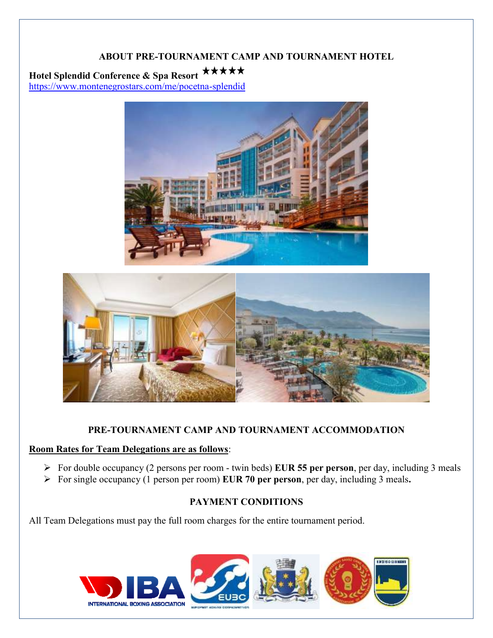### **ABOUT PRE-TOURNAMENT CAMP AND TOURNAMENT HOTEL**

# **Hotel Splendid Conference & Spa Resort**

<https://www.montenegrostars.com/me/pocetna-splendid>





## **PRE-TOURNAMENT CAMP AND TOURNAMENT ACCOMMODATION**

#### **Room Rates for Team Delegations are as follows**:

- For double occupancy (2 persons per room twin beds) **EUR 55 per person**, per day, including 3 meals
- For single occupancy (1 person per room) **EUR 70 per person**, per day, including 3 meals**.**

#### **PAYMENT CONDITIONS**

All Team Delegations must pay the full room charges for the entire tournament period.

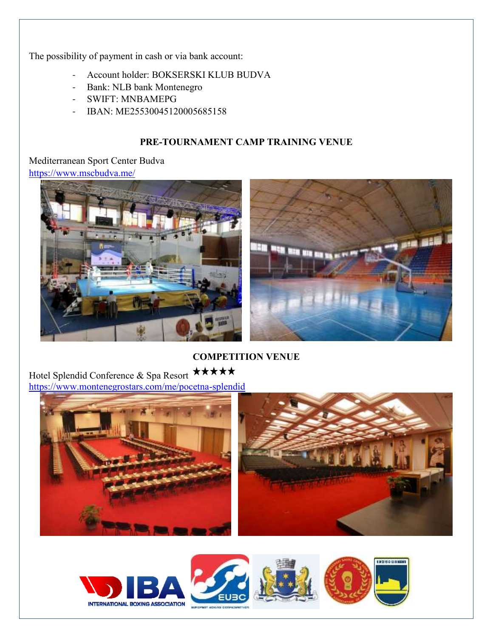The possibility of payment in cash or via bank account:

- Account holder: BOKSERSKI KLUB BUDVA
- Bank: NLB bank Montenegro
- SWIFT: MNBAMEPG
- IBAN: ME25530045120005685158

### **PRE-TOURNAMENT CAMP TRAINING VENUE**

## Mediterranean Sport Center Budva <https://www.mscbudva.me/>





## **COMPETITION VENUE**

Hotel Splendid Conference & Spa Resort \*\*\*\*\* <https://www.montenegrostars.com/me/pocetna-splendid>